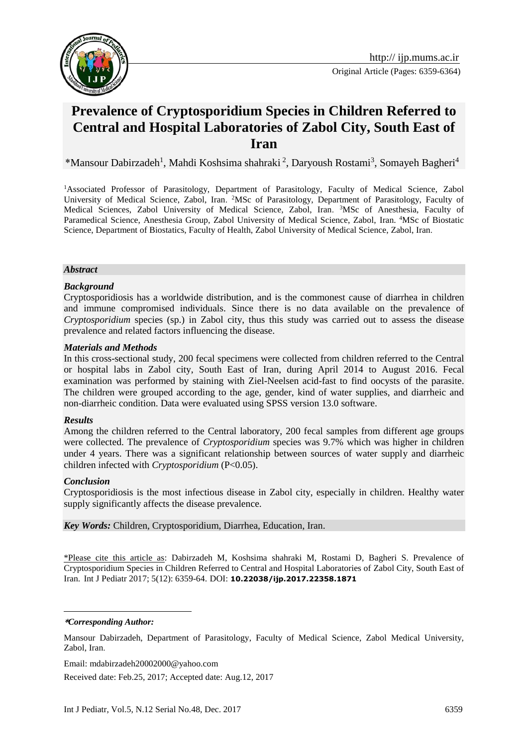

# **Prevalence of Cryptosporidium Species in Children Referred to Central and Hospital Laboratories of Zabol City, South East of Iran**

\*Mansour Dabirzadeh<sup>1</sup>, Mahdi Koshsima shahraki<sup>2</sup>, Daryoush Rostami<sup>3</sup>, Somayeh Bagheri<sup>4</sup>

<sup>1</sup>Associated Professor of Parasitology, Department of Parasitology, Faculty of Medical Science, Zabol University of Medical Science, Zabol, Iran. <sup>2</sup>MSc of Parasitology, Department of Parasitology, Faculty of Medical Sciences, Zabol University of Medical Science, Zabol, Iran. <sup>3</sup>MSc of Anesthesia, Faculty of Paramedical Science, Anesthesia Group, Zabol University of Medical Science, Zabol, Iran. <sup>4</sup>MSc of Biostatic Science, Department of Biostatics, Faculty of Health, Zabol University of Medical Science, Zabol, Iran.

#### *Abstract*

#### *Background*

Cryptosporidiosis has a worldwide distribution, and is the commonest cause of diarrhea in children and immune compromised individuals. Since there is no data available on the prevalence of *Cryptosporidium* species (sp.) in Zabol city, thus this study was carried out to assess the disease prevalence and related factors influencing the disease.

#### *Materials and Methods*

In this cross-sectional study, 200 fecal specimens were collected from children referred to the Central or hospital labs in Zabol city, South East of Iran, during April 2014 to August 2016. Fecal examination was performed by staining with Ziel-Neelsen acid-fast to find oocysts of the parasite. The children were grouped according to the age, gender, kind of water supplies, and diarrheic and non-diarrheic condition. Data were evaluated using SPSS version 13.0 software.

#### *Results*

Among the children referred to the Central laboratory, 200 fecal samples from different age groups were collected. The prevalence of *Cryptosporidium* species was 9.7% which was higher in children under 4 years. There was a significant relationship between sources of water supply and diarrheic children infected with *Cryptosporidium* (P<0.05).

#### *Conclusion*

Cryptosporidiosis is the most infectious disease in Zabol city, especially in children. Healthy water supply significantly affects the disease prevalence.

*Key Words:* Children, Cryptosporidium, Diarrhea, Education, Iran.

\*Please cite this article as: Dabirzadeh M, Koshsima shahraki M, Rostami D, Bagheri S. Prevalence of Cryptosporidium Species in Children Referred to Central and Hospital Laboratories of Zabol City, South East of Iran. Int J Pediatr 2017; 5(12): 6359-64. DOI: **10.22038/ijp.2017.22358.1871**

**\****Corresponding Author:*

1

Email: mdabirzadeh20002000@yahoo.com

Received date: Feb.25, 2017; Accepted date: Aug.12, 2017

Mansour Dabirzadeh, Department of Parasitology, Faculty of Medical Science, Zabol Medical University, Zabol, Iran.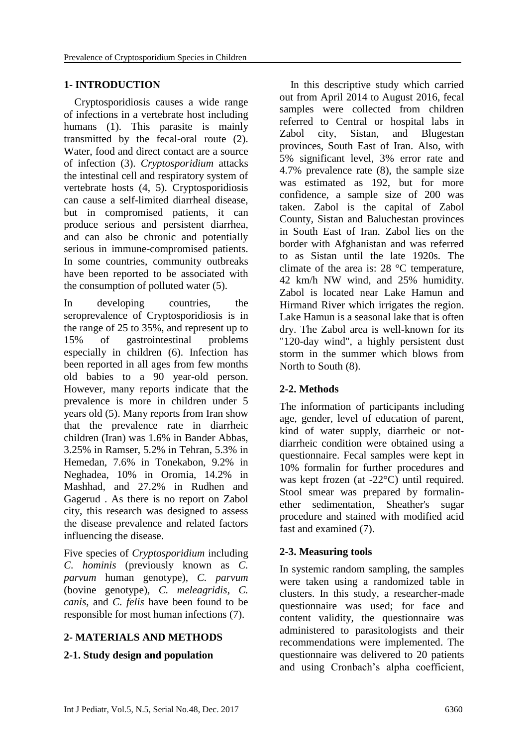# **1- INTRODUCTION**

 Cryptosporidiosis causes a wide range of infections in a vertebrate host including humans (1). This parasite is mainly transmitted by the fecal-oral route (2). Water, food and direct contact are a source of infection (3). *Cryptosporidium* attacks the intestinal cell and respiratory system of vertebrate hosts (4, 5). Cryptosporidiosis can cause a self-limited diarrheal disease, but in compromised patients, it can produce serious and persistent diarrhea, and can also be chronic and potentially serious in immune-compromised patients. In some countries, community outbreaks have been reported to be associated with the consumption of polluted water (5).

In developing countries, the seroprevalence of Cryptosporidiosis is in the range of 25 to 35%, and represent up to 15% of gastrointestinal problems especially in children (6). Infection has been reported in all ages from few months old babies to a 90 year-old person. However, many reports indicate that the prevalence is more in children under 5 years old (5). Many reports from Iran show that the prevalence rate in diarrheic children (Iran) was 1.6% in Bander Abbas, 3.25% in Ramser, 5.2% in Tehran, 5.3% in Hemedan, 7.6% in Tonekabon, 9.2% in Neghadea, 10% in Oromia, 14.2% in Mashhad, and 27.2% in Rudhen and Gagerud . As there is no report on Zabol city, this research was designed to assess the disease prevalence and related factors influencing the disease.

Five species of *Cryptosporidium* including *C. hominis* (previously known as *C. parvum* human genotype), *C. parvum* (bovine genotype), *C. meleagridis*, *C. canis*, and *C. felis* have been found to be responsible for most human infections (7).

# **2- MATERIALS AND METHODS**

# **2-1. Study design and population**

 In this descriptive study which carried out from April 2014 to August 2016, fecal samples were collected from children referred to Central or hospital labs in Zabol city, Sistan, and Blugestan provinces, South East of Iran. Also, with 5% significant level, 3% error rate and 4.7% prevalence rate (8), the sample size was estimated as 192, but for more confidence, a sample size of 200 was taken. Zabol is the capital of Zabol County, Sistan and Baluchestan provinces in South East of Iran. Zabol lies on the border with Afghanistan and was referred to as Sistan until the late 1920s. The climate of the area is: 28 °C temperature, 42 km/h NW wind, and 25% humidity. Zabol is located near Lake Hamun and Hirmand River which irrigates the region. Lake Hamun is a seasonal lake that is often dry. The Zabol area is well-known for its "120-day wind", a highly persistent dust storm in the summer which blows from North to South (8).

# **2-2. Methods**

The information of participants including age, gender, level of education of parent, kind of water supply, diarrheic or notdiarrheic condition were obtained using a questionnaire. Fecal samples were kept in 10% formalin for further procedures and was kept frozen (at -22°C) until required. Stool smear was prepared by formalinether sedimentation, Sheather's sugar procedure and stained with modified acid fast and examined (7).

# **2-3. Measuring tools**

In systemic random sampling, the samples were taken using a randomized table in clusters. In this study, a researcher-made questionnaire was used; for face and content validity, the questionnaire was administered to parasitologists and their recommendations were implemented. The questionnaire was delivered to 20 patients and using Cronbach's alpha coefficient,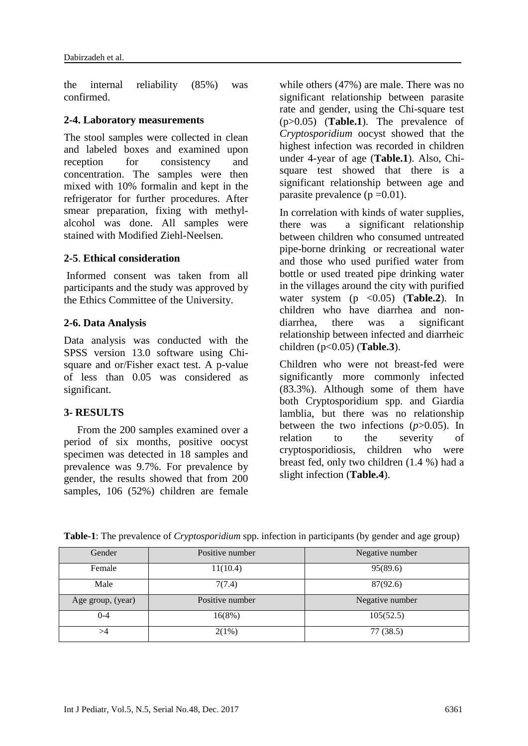the internal reliability (85%) was confirmed.

#### **2-4. Laboratory measurements**

The stool samples were collected in clean and labeled boxes and examined upon reception for consistency and concentration. The samples were then mixed with 10% formalin and kept in the refrigerator for further procedures. After smear preparation, fixing with methylalcohol was done. All samples were stained with Modified Ziehl-Neelsen.

### **2-5**. **Ethical consideration**

Informed consent was taken from all participants and the study was approved by the Ethics Committee of the University.

#### **2-6. Data Analysis**

Data analysis was conducted with the SPSS version 13.0 software using Chisquare and or/Fisher exact test. A p-value of less than 0.05 was considered as significant.

#### **3- RESULTS**

 From the 200 samples examined over a period of six months, positive oocyst specimen was detected in 18 samples and prevalence was 9.7%. For prevalence by gender, the results showed that from 200 samples, 106 (52%) children are female while others (47%) are male. There was no significant relationship between parasite rate and gender, using the Chi-square test (p>0.05) (**Table.1**). The prevalence of *Cryptosporidium* oocyst showed that the highest infection was recorded in children under 4-year of age (**Table.1**). Also, Chisquare test showed that there is a significant relationship between age and parasite prevalence  $(p=0.01)$ .

In correlation with kinds of water supplies, there was a significant relationship between children who consumed untreated pipe-borne drinking or recreational water and those who used purified water from bottle or used treated pipe drinking water in the villages around the city with purified water system  $(p \langle 0.05 \rangle)$  (**Table.2**). In children who have diarrhea and nondiarrhea, there was a significant relationship between infected and diarrheic children (p<0.05) (**Table.3**).

Children who were not breast-fed were significantly more commonly infected (83.3%). Although some of them have both Cryptosporidium spp. and Giardia lamblia, but there was no relationship between the two infections (*p*>0.05). In relation to the severity of cryptosporidiosis, children who were breast fed, only two children (1.4 %) had a slight infection (**Table.4**).

| Gender            | Positive number | Negative number |
|-------------------|-----------------|-----------------|
| Female            | 11(10.4)        | 95(89.6)        |
| Male              | 7(7.4)          | 87(92.6)        |
|                   |                 |                 |
| Age group, (year) | Positive number | Negative number |
| 0-4               | 16(8%)          | 105(52.5)       |

**Table-1**: The prevalence of *Cryptosporidium* spp. infection in participants (by gender and age group)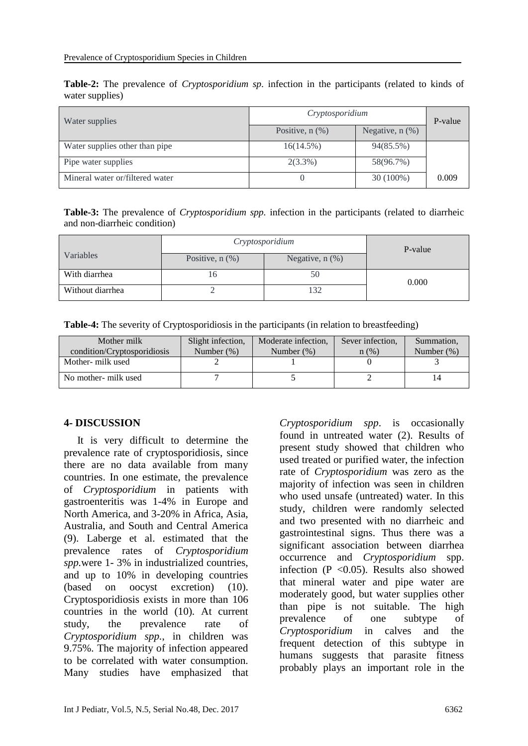**Table-2:** The prevalence of *Cryptosporidium sp*. infection in the participants (related to kinds of water supplies)

| Water supplies                  | Cryptosporidium      |                      | P-value |
|---------------------------------|----------------------|----------------------|---------|
|                                 | Positive, $n$ $(\%)$ | Negative, $n$ $(\%)$ |         |
| Water supplies other than pipe  | 16(14.5%)            | 94(85.5%)            |         |
| Pipe water supplies             | $2(3.3\%)$           | 58(96.7%)            |         |
| Mineral water or/filtered water |                      | $30(100\%)$          | 0.009   |

**Table-3:** The prevalence of *Cryptosporidium spp.* infection in the participants (related to diarrheic and non-diarrheic condition)

|                  | Cryptosporidium      |                      | P-value |  |
|------------------|----------------------|----------------------|---------|--|
| Variables        | Positive, $n$ $(\%)$ | Negative, $n$ $(\%)$ |         |  |
| With diarrhea    | ، d                  | 50                   | 0.000   |  |
| Without diarrhea |                      | 132                  |         |  |

**Table-4:** The severity of Cryptosporidiosis in the participants (in relation to breastfeeding)

| Mother milk<br>condition/Cryptosporidiosis | Slight infection,<br>Number $(\%)$ | Moderate infection,<br>Number $(\%)$ | Sever infection,<br>$n$ (%) | Summation,<br>Number $(\%)$ |
|--------------------------------------------|------------------------------------|--------------------------------------|-----------------------------|-----------------------------|
| Mother- milk used                          |                                    |                                      |                             |                             |
| No mother- milk used                       |                                    |                                      |                             |                             |

#### **4- DISCUSSION**

 It is very difficult to determine the prevalence rate of cryptosporidiosis, since there are no data available from many countries. In one estimate, the prevalence of *Cryptosporidium* in patients with gastroenteritis was 1-4% in Europe and North America, and 3-20% in Africa, Asia, Australia, and South and Central America (9). Laberge et al. estimated that the prevalence rates of *Cryptosporidium spp.*were 1- 3% in industrialized countries, and up to 10% in developing countries (based on oocyst excretion) (10). Cryptosporidiosis exists in more than 106 countries in the world (10). At current study, the prevalence rate of *Cryptosporidium spp.*, in children was 9.75%. The majority of infection appeared to be correlated with water consumption. Many studies have emphasized that

*Cryptosporidium spp*. is occasionally found in untreated water (2). Results of present study showed that children who used treated or purified water, the infection rate of *Cryptosporidium* was zero as the majority of infection was seen in children who used unsafe (untreated) water. In this study, children were randomly selected and two presented with no diarrheic and gastrointestinal signs. Thus there was a significant association between diarrhea occurrence and *Cryptosporidium* spp. infection  $(P \le 0.05)$ . Results also showed that mineral water and pipe water are moderately good, but water supplies other than pipe is not suitable. The high prevalence of one subtype of *Cryptosporidium* in calves and the frequent detection of this subtype in humans suggests that parasite fitness probably plays an important role in the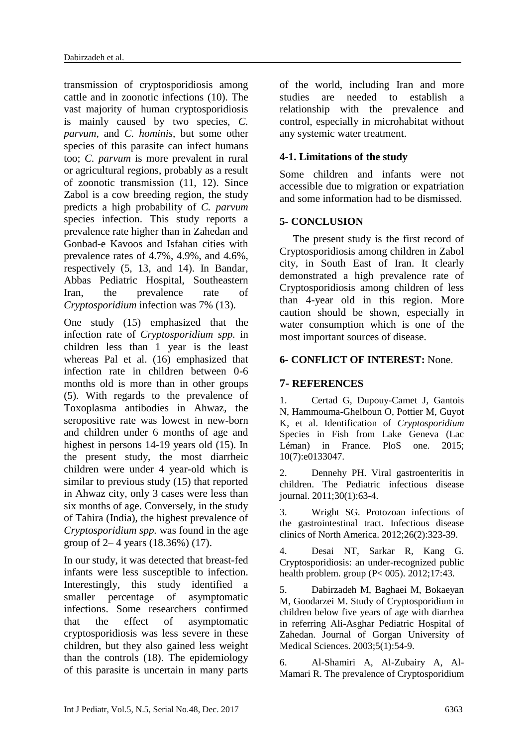transmission of cryptosporidiosis among cattle and in zoonotic infections (10). The vast majority of human cryptosporidiosis is mainly caused by two species, *C. parvum,* and *C. hominis,* but some other species of this parasite can infect humans too; *C. parvum* is more prevalent in rural or agricultural regions, probably as a result of zoonotic transmission (11, 12). Since Zabol is a cow breeding region, the study predicts a high probability of *C. parvum* species infection. This study reports a prevalence rate higher than in Zahedan and Gonbad-e Kavoos and Isfahan cities with prevalence rates of 4.7%, 4.9%, and 4.6%, respectively (5, 13, and 14). In Bandar, Abbas Pediatric Hospital, Southeastern Iran, the prevalence rate of *Cryptosporidium* infection was 7% (13).

One study (15) emphasized that the infection rate of *Cryptosporidium spp.* in children less than 1 year is the least whereas Pal et al. (16) emphasized that infection rate in children between 0-6 months old is more than in other groups (5). With regards to the prevalence of Toxoplasma antibodies in Ahwaz, the seropositive rate was lowest in new-born and children under 6 months of age and highest in persons 14-19 years old (15). In the present study, the most diarrheic children were under 4 year-old which is similar to previous study (15) that reported in Ahwaz city, only 3 cases were less than six months of age. Conversely, in the study of Tahira (India), the highest prevalence of *Cryptosporidium spp.* was found in the age group of 2– 4 years (18.36%) (17).

In our study, it was detected that breast-fed infants were less susceptible to infection. Interestingly, this study identified a smaller percentage of asymptomatic infections. Some researchers confirmed that the effect of asymptomatic cryptosporidiosis was less severe in these children, but they also gained less weight than the controls (18). The epidemiology of this parasite is uncertain in many parts

of the world, including Iran and more studies are needed to establish a relationship with the prevalence and control, especially in microhabitat without any systemic water treatment.

# **4-1. Limitations of the study**

Some children and infants were not accessible due to migration or expatriation and some information had to be dismissed.

# **5- CONCLUSION**

 The present study is the first record of Cryptosporidiosis among children in Zabol city, in South East of Iran. It clearly demonstrated a high prevalence rate of Cryptosporidiosis among children of less than 4-year old in this region. More caution should be shown, especially in water consumption which is one of the most important sources of disease.

# **6- CONFLICT OF INTEREST:** None.

# **7- REFERENCES**

1. Certad G, Dupouy-Camet J, Gantois N, Hammouma-Ghelboun O, Pottier M, Guyot K, et al. Identification of *Cryptosporidium* Species in Fish from Lake Geneva (Lac Léman) in France. PloS one. 2015; 10(7):e0133047.

2. Dennehy PH. Viral gastroenteritis in children. The Pediatric infectious disease journal. 2011;30(1):63-4.

3. Wright SG. Protozoan infections of the gastrointestinal tract. Infectious disease clinics of North America. 2012;26(2):323-39.

4. Desai NT, Sarkar R, Kang G. Cryptosporidiosis: an under-recognized public health problem. group (P< 005). 2012;17:43.

5. Dabirzadeh M, Baghaei M, Bokaeyan M, Goodarzei M. Study of Cryptosporidium in children below five years of age with diarrhea in referring Ali-Asghar Pediatric Hospital of Zahedan. Journal of Gorgan University of Medical Sciences. 2003;5(1):54-9.

6. Al-Shamiri A, Al-Zubairy A, Al-Mamari R. The prevalence of Cryptosporidium